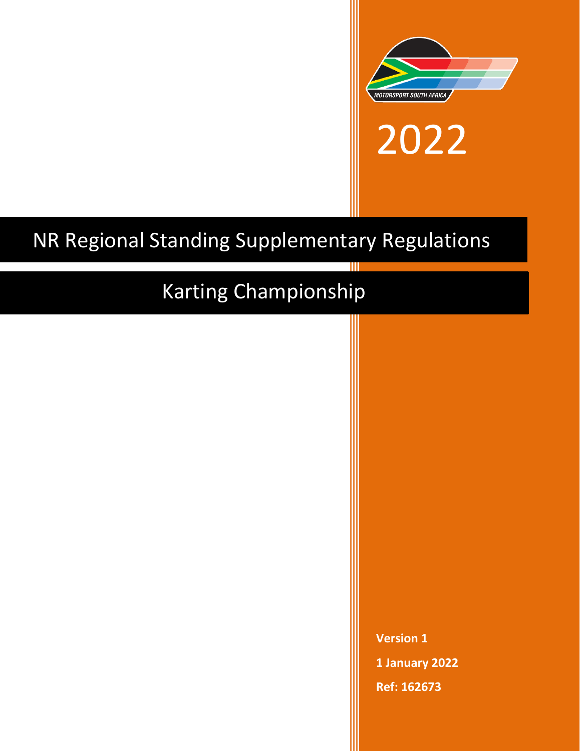



# NR Regional Standing Supplementary Regulations

## Karting Championship

**Version 1 1 January 2022 Ref: 162673**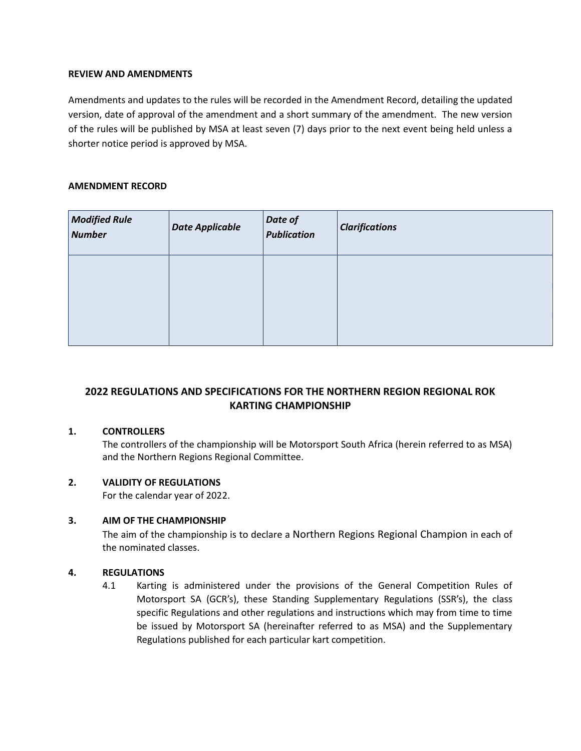## **REVIEW AND AMENDMENTS**

Amendments and updates to the rules will be recorded in the Amendment Record, detailing the updated version, date of approval of the amendment and a short summary of the amendment. The new version of the rules will be published by MSA at least seven (7) days prior to the next event being held unless a shorter notice period is approved by MSA.

#### **AMENDMENT RECORD**

| <b>Modified Rule</b><br><b>Number</b> | <b>Date Applicable</b> | Date of<br><b>Publication</b> | <b>Clarifications</b> |
|---------------------------------------|------------------------|-------------------------------|-----------------------|
|                                       |                        |                               |                       |
|                                       |                        |                               |                       |

## **2022 REGULATIONS AND SPECIFICATIONS FOR THE NORTHERN REGION REGIONAL ROK KARTING CHAMPIONSHIP**

#### **1. CONTROLLERS**

The controllers of the championship will be Motorsport South Africa (herein referred to as MSA) and the Northern Regions Regional Committee.

## **2. VALIDITY OF REGULATIONS**

For the calendar year of 2022.

## **3. AIM OF THE CHAMPIONSHIP**

The aim of the championship is to declare a Northern Regions Regional Champion in each of the nominated classes.

## **4. REGULATIONS**

4.1 Karting is administered under the provisions of the General Competition Rules of Motorsport SA (GCR's), these Standing Supplementary Regulations (SSR's), the class specific Regulations and other regulations and instructions which may from time to time be issued by Motorsport SA (hereinafter referred to as MSA) and the Supplementary Regulations published for each particular kart competition.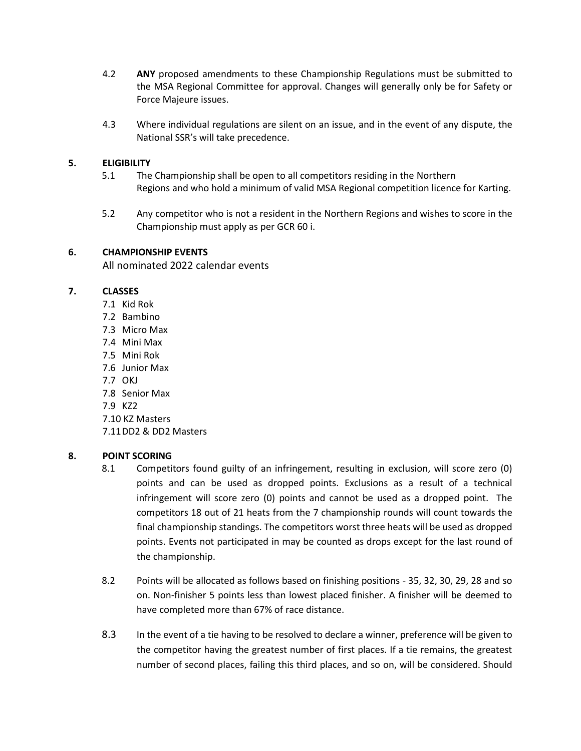- 4.2 **ANY** proposed amendments to these Championship Regulations must be submitted to the MSA Regional Committee for approval. Changes will generally only be for Safety or Force Majeure issues.
- 4.3 Where individual regulations are silent on an issue, and in the event of any dispute, the National SSR's will take precedence.

## **5. ELIGIBILITY**

- 5.1 The Championship shall be open to all competitors residing in the Northern Regions and who hold a minimum of valid MSA Regional competition licence for Karting.
- 5.2 Any competitor who is not a resident in the Northern Regions and wishes to score in the Championship must apply as per GCR 60 i.

## **6. CHAMPIONSHIP EVENTS**

All nominated 2022 calendar events

## **7. CLASSES**

- 7.1 Kid Rok
- 7.2 Bambino
- 7.3 Micro Max
- 7.4 Mini Max
- 7.5 Mini Rok
- 7.6 Junior Max
- 7.7 OKJ
- 7.8 Senior Max
- 7.9 KZ2
- 7.10 KZ Masters
- 7.11DD2 & DD2 Masters

## **8. POINT SCORING**

- 8.1 Competitors found guilty of an infringement, resulting in exclusion, will score zero (0) points and can be used as dropped points. Exclusions as a result of a technical infringement will score zero (0) points and cannot be used as a dropped point. The competitors 18 out of 21 heats from the 7 championship rounds will count towards the final championship standings. The competitors worst three heats will be used as dropped points. Events not participated in may be counted as drops except for the last round of the championship.
- 8.2 Points will be allocated as follows based on finishing positions 35, 32, 30, 29, 28 and so on. Non-finisher 5 points less than lowest placed finisher. A finisher will be deemed to have completed more than 67% of race distance.
- 8.3 In the event of a tie having to be resolved to declare a winner, preference will be given to the competitor having the greatest number of first places. If a tie remains, the greatest number of second places, failing this third places, and so on, will be considered. Should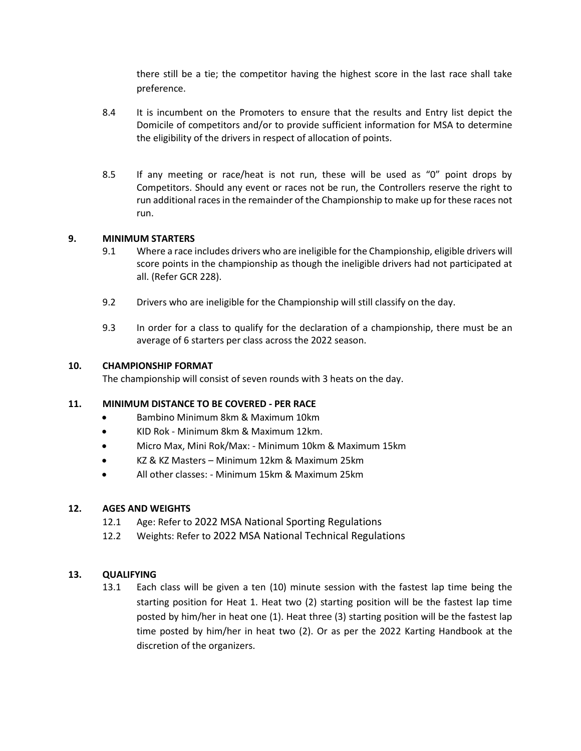there still be a tie; the competitor having the highest score in the last race shall take preference.

- 8.4 It is incumbent on the Promoters to ensure that the results and Entry list depict the Domicile of competitors and/or to provide sufficient information for MSA to determine the eligibility of the drivers in respect of allocation of points.
- 8.5 If any meeting or race/heat is not run, these will be used as "0" point drops by Competitors. Should any event or races not be run, the Controllers reserve the right to run additional races in the remainder of the Championship to make up for these races not run.

## **9. MINIMUM STARTERS**

- 9.1 Where a race includes drivers who are ineligible for the Championship, eligible drivers will score points in the championship as though the ineligible drivers had not participated at all. (Refer GCR 228).
- 9.2 Drivers who are ineligible for the Championship will still classify on the day.
- 9.3 In order for a class to qualify for the declaration of a championship, there must be an average of 6 starters per class across the 2022 season.

#### **10. CHAMPIONSHIP FORMAT**

The championship will consist of seven rounds with 3 heats on the day.

#### **11. MINIMUM DISTANCE TO BE COVERED - PER RACE**

- Bambino Minimum 8km & Maximum 10km
- KID Rok Minimum 8km & Maximum 12km.
- Micro Max, Mini Rok/Max: Minimum 10km & Maximum 15km
- KZ & KZ Masters Minimum 12km & Maximum 25km
- All other classes: Minimum 15km & Maximum 25km

## **12. AGES AND WEIGHTS**

- 12.1 Age: Refer to 2022 MSA National Sporting Regulations
- 12.2 Weights: Refer to 2022 MSA National Technical Regulations

## **13. QUALIFYING**

13.1 Each class will be given a ten (10) minute session with the fastest lap time being the starting position for Heat 1. Heat two (2) starting position will be the fastest lap time posted by him/her in heat one (1). Heat three (3) starting position will be the fastest lap time posted by him/her in heat two (2). Or as per the 2022 Karting Handbook at the discretion of the organizers.